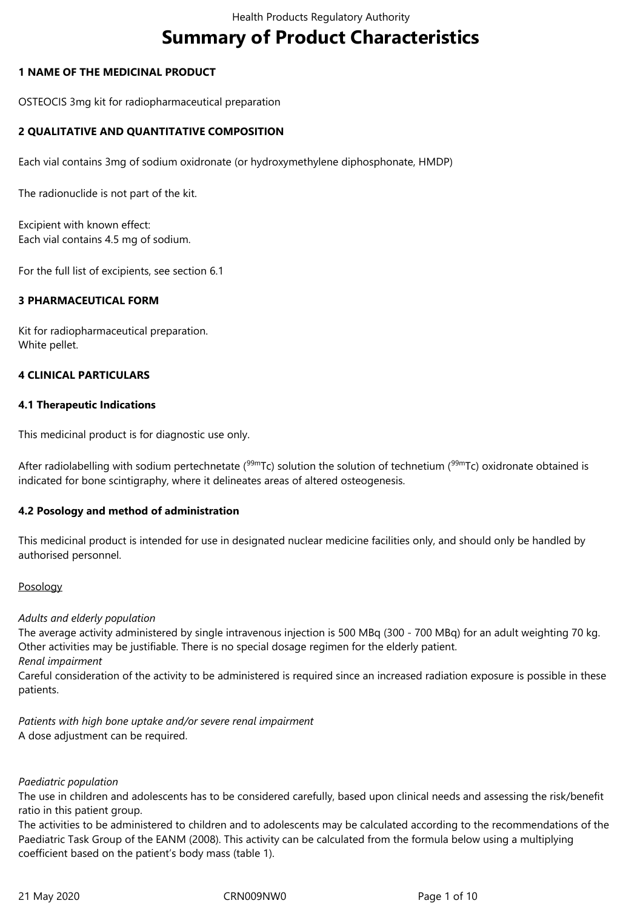# **Summary of Product Characteristics**

# **1 NAME OF THE MEDICINAL PRODUCT**

OSTEOCIS 3mg kit for radiopharmaceutical preparation

# **2 QUALITATIVE AND QUANTITATIVE COMPOSITION**

Each vial contains 3mg of sodium oxidronate (or hydroxymethylene diphosphonate, HMDP)

The radionuclide is not part of the kit.

Excipient with known effect: Each vial contains 4.5 mg of sodium.

For the full list of excipients, see section 6.1

# **3 PHARMACEUTICAL FORM**

Kit for radiopharmaceutical preparation. White pellet.

## **4 CLINICAL PARTICULARS**

#### **4.1 Therapeutic Indications**

This medicinal product is for diagnostic use only.

After radiolabelling with sodium pertechnetate ( $99mTc$ ) solution the solution of technetium ( $99mTc$ ) oxidronate obtained is indicated for bone scintigraphy, where it delineates areas of altered osteogenesis.

## **4.2 Posology and method of administration**

This medicinal product is intended for use in designated nuclear medicine facilities only, and should only be handled by authorised personnel.

## Posology

#### *Adults and elderly population*

The average activity administered by single intravenous injection is 500 MBq (300 ‑ 700 MBq) for an adult weighting 70 kg. Other activities may be justifiable. There is no special dosage regimen for the elderly patient.

*Renal impairment*

Careful consideration of the activity to be administered is required since an increased radiation exposure is possible in these patients.

*Patients with high bone uptake and/or severe renal impairment* A dose adjustment can be required.

## *Paediatric population*

The use in children and adolescents has to be considered carefully, based upon clinical needs and assessing the risk/benefit ratio in this patient group.

The activities to be administered to children and to adolescents may be calculated according to the recommendations of the Paediatric Task Group of the EANM (2008). This activity can be calculated from the formula below using a multiplying coefficient based on the patient's body mass (table 1).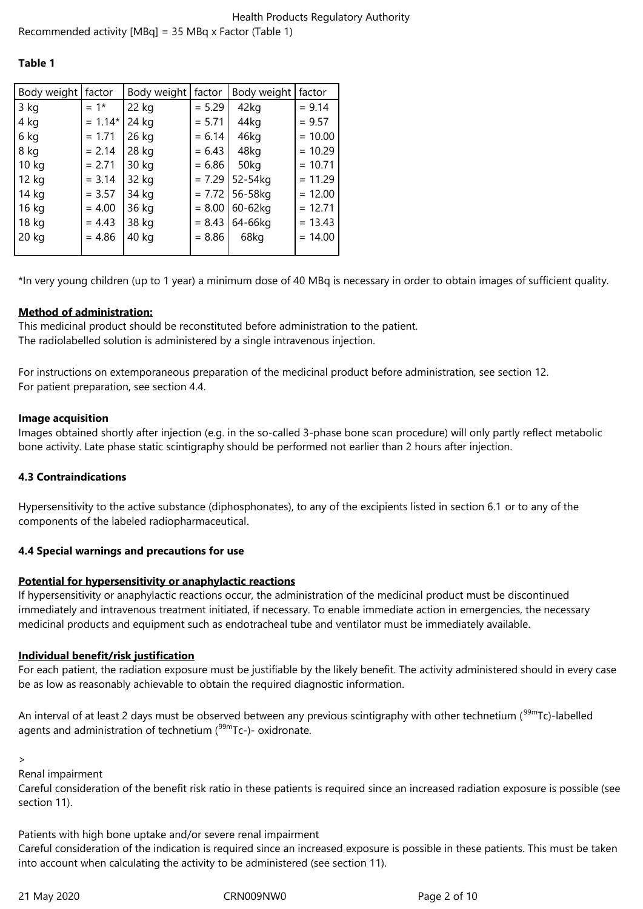## **Table 1**

| Body weight | factor    | Body weight | factor   | Body weight | factor    |
|-------------|-----------|-------------|----------|-------------|-----------|
| 3 kg        | $= 1*$    | 22 kg       | $= 5.29$ | 42kg        | $= 9.14$  |
| 4 kg        | $= 1.14*$ | 24 kg       | $= 5.71$ | 44kg        | $= 9.57$  |
| 6 kg        | $= 1.71$  | 26 kg       | $= 6.14$ | 46kg        | $= 10.00$ |
| 8 kg        | $= 2.14$  | 28 kg       | $= 6.43$ | 48kg        | $= 10.29$ |
| 10 kg       | $= 2.71$  | 30 kg       | $= 6.86$ | 50kg        | $= 10.71$ |
| 12 kg       | $= 3.14$  | 32 kg       | $= 7.29$ | 52-54kg     | $= 11.29$ |
| 14 kg       | $= 3.57$  | 34 kg       | $= 7.72$ | 56-58kg     | $= 12.00$ |
| 16 kg       | $= 4.00$  | 36 kg       | $= 8.00$ | 60-62kg     | $= 12.71$ |
| 18 kg       | $= 4.43$  | 38 kg       | $= 8.43$ | 64-66kg     | $= 13.43$ |
| 20 kg       | $= 4.86$  | 40 kg       | $= 8.86$ | 68kg        | $= 14.00$ |
|             |           |             |          |             |           |

\*In very young children (up to 1 year) a minimum dose of 40 MBq is necessary in order to obtain images of sufficient quality.

# **Method of administration:**

This medicinal product should be reconstituted before administration to the patient. The radiolabelled solution is administered by a single intravenous injection.

For instructions on extemporaneous preparation of the medicinal product before administration, see section 12. For patient preparation, see section 4.4.

# **Image acquisition**

Images obtained shortly after injection (e.g. in the so-called 3-phase bone scan procedure) will only partly reflect metabolic bone activity. Late phase static scintigraphy should be performed not earlier than 2 hours after injection.

# **4.3 Contraindications**

Hypersensitivity to the active substance (diphosphonates), to any of the excipients listed in section 6.1 or to any of the components of the labeled radiopharmaceutical.

# **4.4 Special warnings and precautions for use**

# **Potential for hypersensitivity or anaphylactic reactions**

If hypersensitivity or anaphylactic reactions occur, the administration of the medicinal product must be discontinued immediately and intravenous treatment initiated, if necessary. To enable immediate action in emergencies, the necessary medicinal products and equipment such as endotracheal tube and ventilator must be immediately available.

# **Individual benefit/risk justification**

For each patient, the radiation exposure must be justifiable by the likely benefit. The activity administered should in every case be as low as reasonably achievable to obtain the required diagnostic information.

An interval of at least 2 days must be observed between any previous scintigraphy with other technetium  $(99mTc)$ -labelled agents and administration of technetium  $(99mTc)$ - oxidronate.

>

Renal impairment

Careful consideration of the benefit risk ratio in these patients is required since an increased radiation exposure is possible (see section 11).

Patients with high bone uptake and/or severe renal impairment

Careful consideration of the indication is required since an increased exposure is possible in these patients. This must be taken into account when calculating the activity to be administered (see section 11).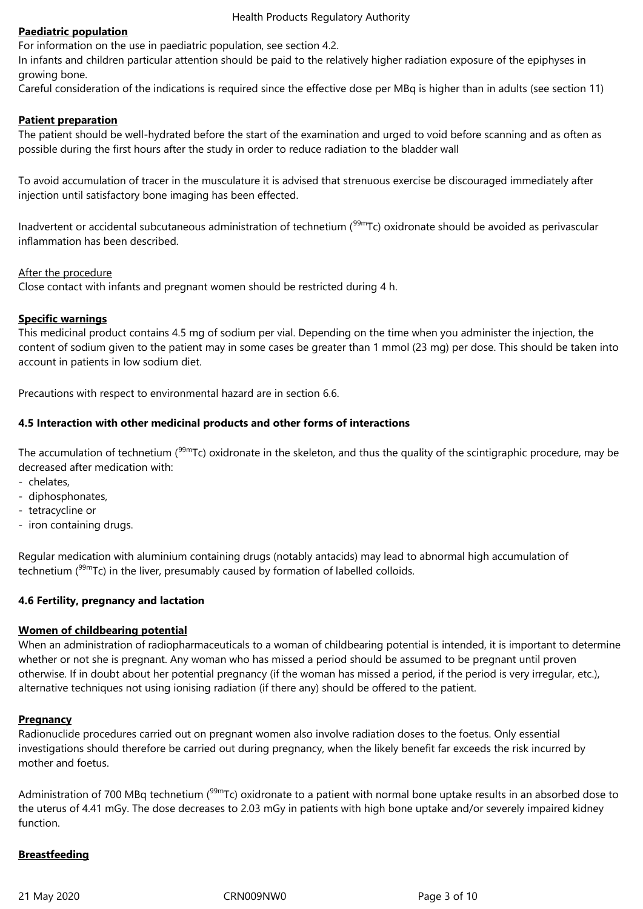Health Products Regulatory Authority

# **Paediatric population**

For information on the use in paediatric population, see section 4.2.

In infants and children particular attention should be paid to the relatively higher radiation exposure of the epiphyses in growing bone.

Careful consideration of the indications is required since the effective dose per MBq is higher than in adults (see section 11)

# **Patient preparation**

The patient should be well-hydrated before the start of the examination and urged to void before scanning and as often as possible during the first hours after the study in order to reduce radiation to the bladder wall

To avoid accumulation of tracer in the musculature it is advised that strenuous exercise be discouraged immediately after injection until satisfactory bone imaging has been effected.

Inadvertent or accidental subcutaneous administration of technetium ( $99m$ Tc) oxidronate should be avoided as perivascular inflammation has been described.

# After the procedure

Close contact with infants and pregnant women should be restricted during 4 h.

# **Specific warnings**

This medicinal product contains 4.5 mg of sodium per vial. Depending on the time when you administer the injection, the content of sodium given to the patient may in some cases be greater than 1 mmol (23 mg) per dose. This should be taken into account in patients in low sodium diet.

Precautions with respect to environmental hazard are in section 6.6.

# **4.5 Interaction with other medicinal products and other forms of interactions**

The accumulation of technetium ( $99mTc$ ) oxidronate in the skeleton, and thus the quality of the scintigraphic procedure, may be decreased after medication with:

- chelates,
- diphosphonates,
- tetracycline or
- iron containing drugs.

Regular medication with aluminium containing drugs (notably antacids) may lead to abnormal high accumulation of technetium  $(99m)$  Tc) in the liver, presumably caused by formation of labelled colloids.

# **4.6 Fertility, pregnancy and lactation**

## **Women of childbearing potential**

When an administration of radiopharmaceuticals to a woman of childbearing potential is intended, it is important to determine whether or not she is pregnant. Any woman who has missed a period should be assumed to be pregnant until proven otherwise. If in doubt about her potential pregnancy (if the woman has missed a period, if the period is very irregular, etc.), alternative techniques not using ionising radiation (if there any) should be offered to the patient.

## **Pregnancy**

Radionuclide procedures carried out on pregnant women also involve radiation doses to the foetus. Only essential investigations should therefore be carried out during pregnancy, when the likely benefit far exceeds the risk incurred by mother and foetus.

Administration of 700 MBq technetium (<sup>99m</sup>Tc) oxidronate to a patient with normal bone uptake results in an absorbed dose to the uterus of 4.41 mGy. The dose decreases to 2.03 mGy in patients with high bone uptake and/or severely impaired kidney function.

# **Breastfeeding**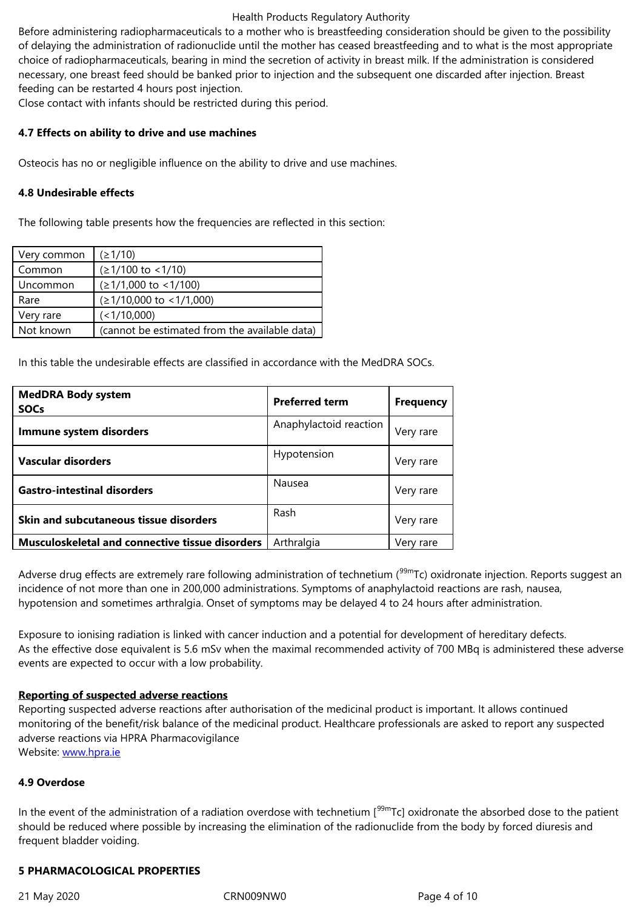choice of radiopharmaceuticals, bearing in mind the secretion of activity in breast milk. If the administration is considered necessary, one breast feed should be banked prior to injection and the subsequent one discarded after injection. Breast feeding can be restarted 4 hours post injection.

Close contact with infants should be restricted during this period.

# **4.7 Effects on ability to drive and use machines**

Osteocis has no or negligible influence on the ability to drive and use machines.

# **4.8 Undesirable effects**

The following table presents how the frequencies are reflected in this section:

| Very common | (21/10)                                       |
|-------------|-----------------------------------------------|
| Common      | $( \geq 1/100 \text{ to } < 1/10 )$           |
| Uncommon    | $( \geq 1/1,000 \text{ to } < 1/100 )$        |
| Rare        | $(≥1/10,000$ to <1/1,000)                     |
| Very rare   | (<1/10,000)                                   |
| Not known   | (cannot be estimated from the available data) |

In this table the undesirable effects are classified in accordance with the MedDRA SOCs.

| <b>MedDRA Body system</b><br><b>SOCs</b>        | <b>Preferred term</b>  | <b>Frequency</b> |
|-------------------------------------------------|------------------------|------------------|
| Immune system disorders                         | Anaphylactoid reaction | Very rare        |
| Vascular disorders                              | Hypotension            | Very rare        |
| <b>Gastro-intestinal disorders</b>              | Nausea                 | Very rare        |
| <b>Skin and subcutaneous tissue disorders</b>   | Rash                   | Very rare        |
| Musculoskeletal and connective tissue disorders | Arthralgia             | Very rare        |

Adverse drug effects are extremely rare following administration of technetium ( $99m$ Tc) oxidronate injection. Reports suggest an incidence of not more than one in 200,000 administrations. Symptoms of anaphylactoid reactions are rash, nausea, hypotension and sometimes arthralgia. Onset of symptoms may be delayed 4 to 24 hours after administration.

Exposure to ionising radiation is linked with cancer induction and a potential for development of hereditary defects. As the effective dose equivalent is 5.6 mSv when the maximal recommended activity of 700 MBq is administered these adverse events are expected to occur with a low probability.

## **Reporting of suspected adverse reactions**

Reporting suspected adverse reactions after authorisation of the medicinal product is important. It allows continued monitoring of the benefit/risk balance of the medicinal product. Healthcare professionals are asked to report any suspected adverse reactions via HPRA Pharmacovigilance Website: www.hpra.ie

## **4.9 Overdose**

In the ev[ent of the adm](http://www.hpra.ie/)inistration of a radiation overdose with technetium  $[99m]$ rc] oxidronate the absorbed dose to the patient should be reduced where possible by increasing the elimination of the radionuclide from the body by forced diuresis and frequent bladder voiding.

# **5 PHARMACOLOGICAL PROPERTIES**

21 May 2020 CRN009NW0 Page 4 of 10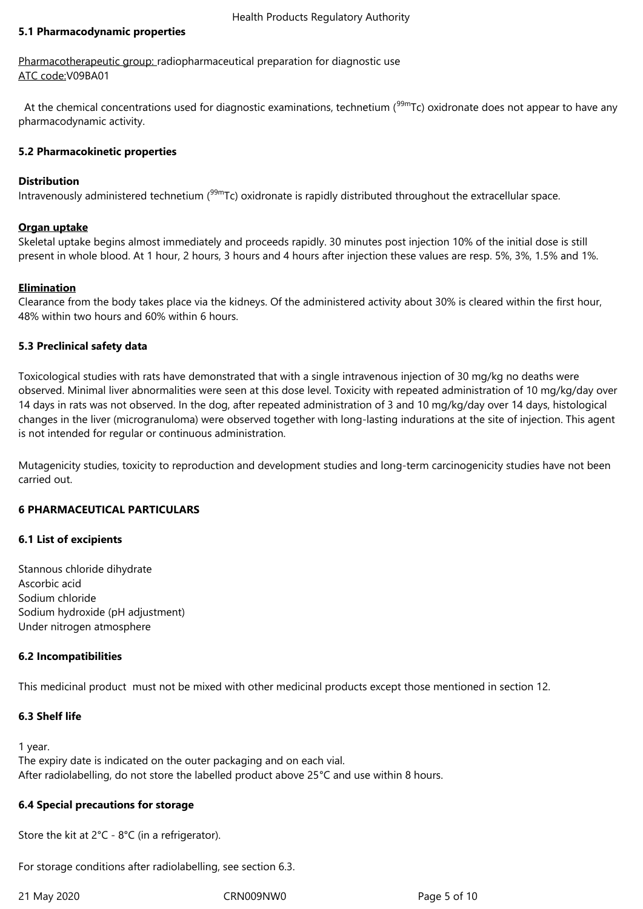## **5.1 Pharmacodynamic properties**

Pharmacotherapeutic group: radiopharmaceutical preparation for diagnostic use ATC code:V09BA01

At the chemical concentrations used for diagnostic examinations, technetium (<sup>99m</sup>Tc) oxidronate does not appear to have any pharmacodynamic activity.

# **5.2 Pharmacokinetic properties**

# **Distribution**

Intravenously administered technetium ( $99mTc$ ) oxidronate is rapidly distributed throughout the extracellular space.

## **Organ uptake**

Skeletal uptake begins almost immediately and proceeds rapidly. 30 minutes post injection 10% of the initial dose is still present in whole blood. At 1 hour, 2 hours, 3 hours and 4 hours after injection these values are resp. 5%, 3%, 1.5% and 1%.

# **Elimination**

Clearance from the body takes place via the kidneys. Of the administered activity about 30% is cleared within the first hour, 48% within two hours and 60% within 6 hours.

# **5.3 Preclinical safety data**

Toxicological studies with rats have demonstrated that with a single intravenous injection of 30 mg/kg no deaths were observed. Minimal liver abnormalities were seen at this dose level. Toxicity with repeated administration of 10 mg/kg/day over 14 days in rats was not observed. In the dog, after repeated administration of 3 and 10 mg/kg/day over 14 days, histological changes in the liver (microgranuloma) were observed together with long-lasting indurations at the site of injection. This agent is not intended for regular or continuous administration.

Mutagenicity studies, toxicity to reproduction and development studies and long-term carcinogenicity studies have not been carried out.

# **6 PHARMACEUTICAL PARTICULARS**

# **6.1 List of excipients**

Stannous chloride dihydrate Ascorbic acid Sodium chloride Sodium hydroxide (pH adjustment) Under nitrogen atmosphere

## **6.2 Incompatibilities**

This medicinal product must not be mixed with other medicinal products except those mentioned in section 12.

# **6.3 Shelf life**

1 year.

The expiry date is indicated on the outer packaging and on each vial. After radiolabelling, do not store the labelled product above 25°C and use within 8 hours.

## **6.4 Special precautions for storage**

Store the kit at 2°C - 8°C (in a refrigerator).

For storage conditions after radiolabelling, see section 6.3.

21 May 2020 CRN009NW0 Page 5 of 10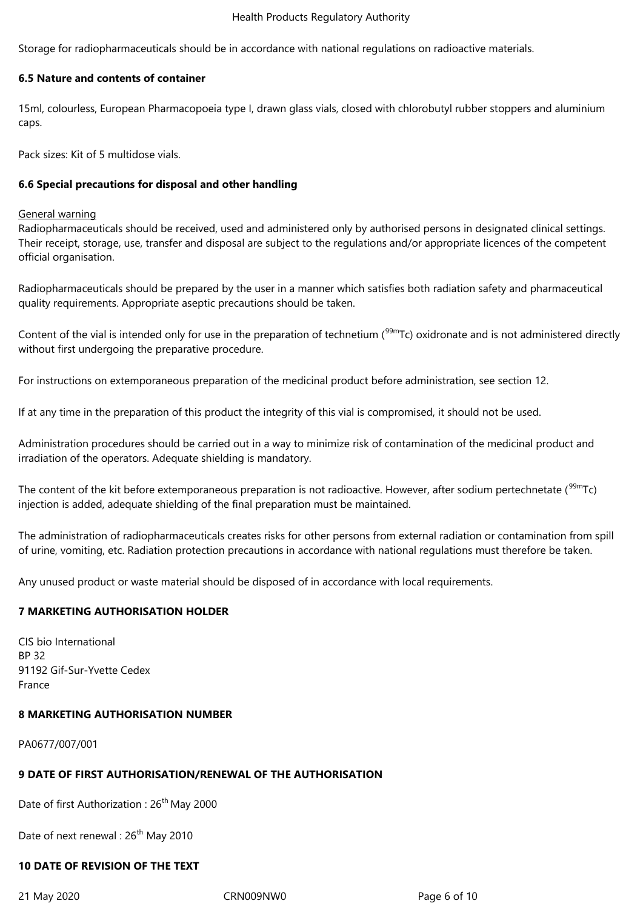#### Health Products Regulatory Authority

Storage for radiopharmaceuticals should be in accordance with national regulations on radioactive materials.

# **6.5 Nature and contents of container**

15ml, colourless, European Pharmacopoeia type I, drawn glass vials, closed with chlorobutyl rubber stoppers and aluminium caps.

Pack sizes: Kit of 5 multidose vials.

## **6.6 Special precautions for disposal and other handling**

#### General warning

Radiopharmaceuticals should be received, used and administered only by authorised persons in designated clinical settings. Their receipt, storage, use, transfer and disposal are subject to the regulations and/or appropriate licences of the competent official organisation.

Radiopharmaceuticals should be prepared by the user in a manner which satisfies both radiation safety and pharmaceutical quality requirements. Appropriate aseptic precautions should be taken.

Content of the vial is intended only for use in the preparation of technetium ( $99m$ Tc) oxidronate and is not administered directly without first undergoing the preparative procedure.

For instructions on extemporaneous preparation of the medicinal product before administration, see section 12.

If at any time in the preparation of this product the integrity of this vial is compromised, it should not be used.

Administration procedures should be carried out in a way to minimize risk of contamination of the medicinal product and irradiation of the operators. Adequate shielding is mandatory.

The content of the kit before extemporaneous preparation is not radioactive. However, after sodium pertechnetate  $(^{99m}Tc)$ injection is added, adequate shielding of the final preparation must be maintained.

The administration of radiopharmaceuticals creates risks for other persons from external radiation or contamination from spill of urine, vomiting, etc. Radiation protection precautions in accordance with national regulations must therefore be taken.

Any unused product or waste material should be disposed of in accordance with local requirements.

# **7 MARKETING AUTHORISATION HOLDER**

CIS bio International BP 32 91192 Gif-Sur-Yvette Cedex France

## **8 MARKETING AUTHORISATION NUMBER**

PA0677/007/001

## **9 DATE OF FIRST AUTHORISATION/RENEWAL OF THE AUTHORISATION**

Date of first Authorization : 26<sup>th</sup> May 2000

Date of next renewal : 26<sup>th</sup> May 2010

# **10 DATE OF REVISION OF THE TEXT**

21 May 2020 CRN009NW0 Page 6 of 10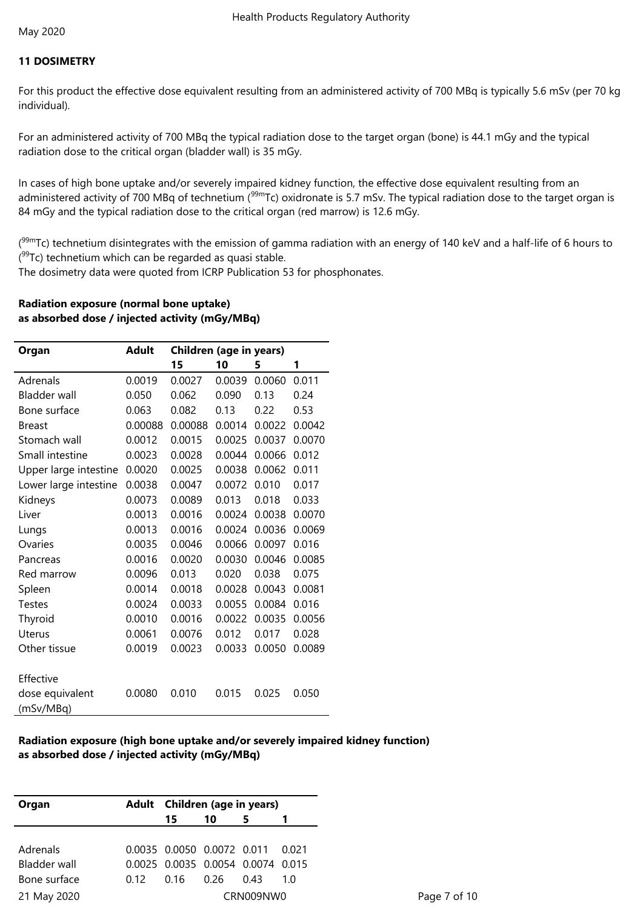## **11 DOSIMETRY**

For this product the effective dose equivalent resulting from an administered activity of 700 MBq is typically 5.6 mSv (per 70 kg individual).

For an administered activity of 700 MBq the typical radiation dose to the target organ (bone) is 44.1 mGy and the typical radiation dose to the critical organ (bladder wall) is 35 mGy.

In cases of high bone uptake and/or severely impaired kidney function, the effective dose equivalent resulting from an administered activity of 700 MBq of technetium (<sup>99m</sup>Tc) oxidronate is 5.7 mSv. The typical radiation dose to the target organ is 84 mGy and the typical radiation dose to the critical organ (red marrow) is 12.6 mGy.

(<sup>99m</sup>Tc) technetium disintegrates with the emission of gamma radiation with an energy of 140 keV and a half-life of 6 hours to (<sup>99</sup>Tc) technetium which can be regarded as quasi stable.

The dosimetry data were quoted from ICRP Publication 53 for phosphonates.

## **Radiation exposure (normal bone uptake) as absorbed dose / injected activity (mGy/MBq)**

| Organ                        | <b>Adult</b> | <b>Children (age in years)</b> |        |        |        |  |
|------------------------------|--------------|--------------------------------|--------|--------|--------|--|
|                              |              | 15                             | 10     | 5      | 1      |  |
| Adrenals                     | 0.0019       | 0.0027                         | 0.0039 | 0.0060 | 0.011  |  |
| <b>Bladder wall</b>          | 0.050        | 0.062                          | 0.090  | 0.13   | 0.24   |  |
| Bone surface                 | 0.063        | 0.082                          | 0.13   | 0.22   | 0.53   |  |
| <b>Breast</b>                | 0.00088      | 0.00088                        | 0.0014 | 0.0022 | 0.0042 |  |
| Stomach wall                 | 0.0012       | 0.0015                         | 0.0025 | 0.0037 | 0.0070 |  |
| Small intestine              | 0.0023       | 0.0028                         | 0.0044 | 0.0066 | 0.012  |  |
| Upper large intestine        | 0.0020       | 0.0025                         | 0.0038 | 0.0062 | 0.011  |  |
| Lower large intestine        | 0.0038       | 0.0047                         | 0.0072 | 0.010  | 0.017  |  |
| Kidneys                      | 0.0073       | 0.0089                         | 0.013  | 0.018  | 0.033  |  |
| Liver                        | 0.0013       | 0.0016                         | 0.0024 | 0.0038 | 0.0070 |  |
| Lungs                        | 0.0013       | 0.0016                         | 0.0024 | 0.0036 | 0.0069 |  |
| Ovaries                      | 0.0035       | 0.0046                         | 0.0066 | 0.0097 | 0.016  |  |
| Pancreas                     | 0.0016       | 0.0020                         | 0.0030 | 0.0046 | 0.0085 |  |
| Red marrow                   | 0.0096       | 0.013                          | 0.020  | 0.038  | 0.075  |  |
| Spleen                       | 0.0014       | 0.0018                         | 0.0028 | 0.0043 | 0.0081 |  |
| <b>Testes</b>                | 0.0024       | 0.0033                         | 0.0055 | 0.0084 | 0.016  |  |
| Thyroid                      | 0.0010       | 0.0016                         | 0.0022 | 0.0035 | 0.0056 |  |
| <b>Uterus</b>                | 0.0061       | 0.0076                         | 0.012  | 0.017  | 0.028  |  |
| Other tissue                 | 0.0019       | 0.0023                         | 0.0033 | 0.0050 | 0.0089 |  |
| Effective                    |              |                                |        |        |        |  |
| dose equivalent<br>(mSv/MBq) | 0.0080       | 0.010                          | 0.015  | 0.025  | 0.050  |  |

## **Radiation exposure (high bone uptake and/or severely impaired kidney function) as absorbed dose / injected activity (mGy/MBq)**

| Organ               | Adult Children (age in years)     |    |      |     |  |
|---------------------|-----------------------------------|----|------|-----|--|
|                     | 15                                | 10 |      |     |  |
|                     |                                   |    |      |     |  |
| Adrenals            | 0.0035 0.0050 0.0072 0.011 0.021  |    |      |     |  |
| <b>Bladder wall</b> | 0.0025 0.0035 0.0054 0.0074 0.015 |    |      |     |  |
| Bone surface        | 0.12 0.16 0.26                    |    | 0.43 | 1 O |  |
| 21 May 2020         | CRN009NW0                         |    |      |     |  |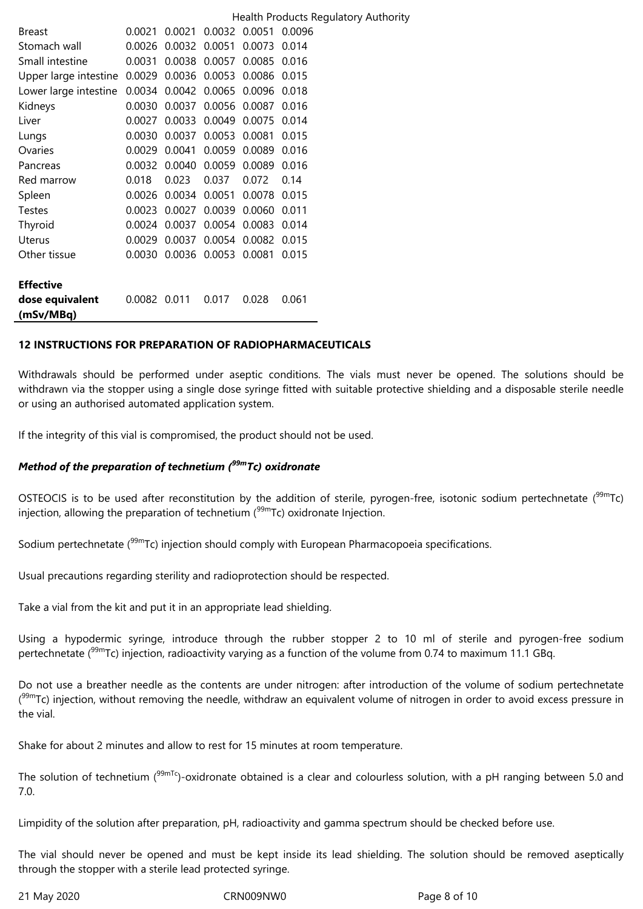|                       |              |        |               |        | Health Products Regulatory Authority |
|-----------------------|--------------|--------|---------------|--------|--------------------------------------|
| <b>Breast</b>         | 0.0021       | 0.0021 | 0.0032 0.0051 |        | 0.0096                               |
| Stomach wall          | 0.0026       | 0.0032 | 0.0051        | 0.0073 | 0.014                                |
| Small intestine       | 0.0031       |        | 0.0038 0.0057 | 0.0085 | 0.016                                |
| Upper large intestine | 0.0029       | 0.0036 | 0.0053        | 0.0086 | 0.015                                |
| Lower large intestine | 0.0034       | 0.0042 | 0.0065        | 0.0096 | 0.018                                |
| Kidneys               | 0.0030       | 0.0037 | 0.0056        | 0.0087 | 0.016                                |
| Liver                 | 0.0027       | 0.0033 | 0.0049        | 0.0075 | 0.014                                |
| Lungs                 | 0.0030       | 0.0037 | 0.0053        | 0.0081 | 0.015                                |
| Ovaries               | 0.0029       | 0.0041 | 0.0059        | 0.0089 | 0.016                                |
| Pancreas              | 0.0032       | 0.0040 | 0.0059        | 0.0089 | 0.016                                |
| Red marrow            | 0.018        | 0.023  | 0.037         | 0.072  | 0.14                                 |
| Spleen                | 0.0026       | 0.0034 | 0.0051        | 0.0078 | 0.015                                |
| <b>Testes</b>         | 0.0023       | 0.0027 | 0.0039        | 0.0060 | 0.011                                |
| Thyroid               | 0.0024       | 0.0037 | 0.0054        | 0.0083 | 0.014                                |
| <b>Uterus</b>         | 0.0029       | 0.0037 | 0.0054        | 0.0082 | 0.015                                |
| Other tissue          | 0.0030       | 0.0036 | 0.0053        | 0.0081 | 0.015                                |
|                       |              |        |               |        |                                      |
| <b>Effective</b>      |              |        |               |        |                                      |
| dose equivalent       | 0.0082 0.011 |        | 0.017         | 0.028  | 0.061                                |
| (mSv/MBq)             |              |        |               |        |                                      |

## **12 INSTRUCTIONS FOR PREPARATION OF RADIOPHARMACEUTICALS**

Withdrawals should be performed under aseptic conditions. The vials must never be opened. The solutions should be withdrawn via the stopper using a single dose syringe fitted with suitable protective shielding and a disposable sterile needle or using an authorised automated application system.

If the integrity of this vial is compromised, the product should not be used.

# *Method of the preparation of technetium (99mTc) oxidronate*

OSTEOCIS is to be used after reconstitution by the addition of sterile, pyrogen-free, isotonic sodium pertechnetate (<sup>99m</sup>Tc) injection, allowing the preparation of technetium  $(99m)$ Tc) oxidronate Injection.

Sodium pertechnetate (<sup>99m</sup>Tc) injection should comply with European Pharmacopoeia specifications.

Usual precautions regarding sterility and radioprotection should be respected.

Take a vial from the kit and put it in an appropriate lead shielding.

Using a hypodermic syringe, introduce through the rubber stopper 2 to 10 ml of sterile and pyrogen-free sodium pertechnetate (<sup>99m</sup>Tc) injection, radioactivity varying as a function of the volume from 0.74 to maximum 11.1 GBq.

Do not use a breather needle as the contents are under nitrogen: after introduction of the volume of sodium pertechnetate (<sup>99m</sup>Tc) injection, without removing the needle, withdraw an equivalent volume of nitrogen in order to avoid excess pressure in the vial.

Shake for about 2 minutes and allow to rest for 15 minutes at room temperature.

The solution of technetium (<sup>99mTc</sup>)-oxidronate obtained is a clear and colourless solution, with a pH ranging between 5.0 and 7.0.

Limpidity of the solution after preparation, pH, radioactivity and gamma spectrum should be checked before use.

The vial should never be opened and must be kept inside its lead shielding. The solution should be removed aseptically through the stopper with a sterile lead protected syringe.

21 May 2020 CRN009NW0 Page 8 of 10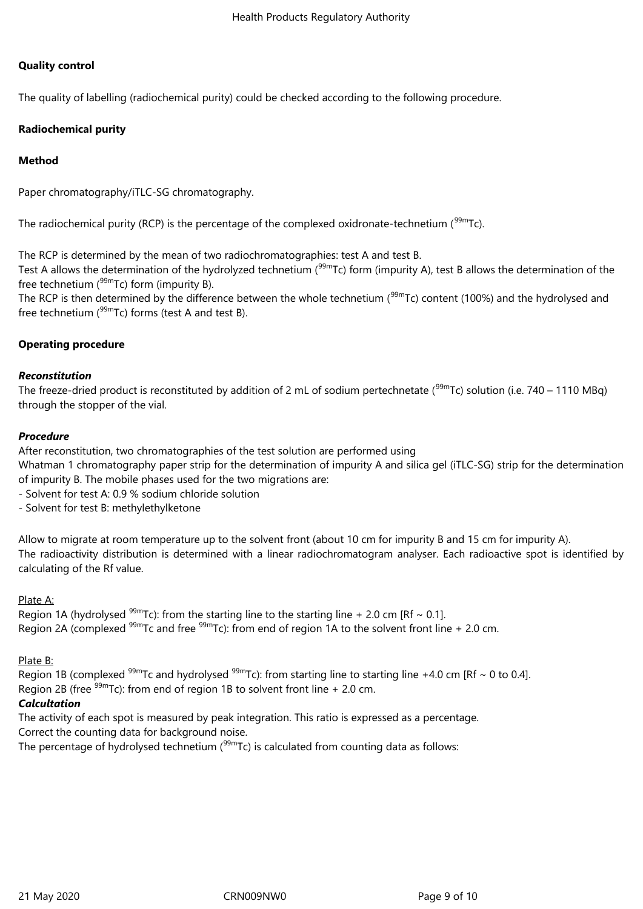# **Quality control**

The quality of labelling (radiochemical purity) could be checked according to the following procedure.

# **Radiochemical purity**

# **Method**

Paper chromatography/iTLC-SG chromatography.

The radiochemical purity (RCP) is the percentage of the complexed oxidronate-technetium ( $99mTc$ ).

The RCP is determined by the mean of two radiochromatographies: test A and test B.

Test A allows the determination of the hydrolyzed technetium ( $99mTc$ ) form (impurity A), test B allows the determination of the free technetium  $(99m)$ Tc) form (impurity B).

The RCP is then determined by the difference between the whole technetium ( $99mTc$ ) content (100%) and the hydrolysed and free technetium  $(^{99m}$ Tc) forms (test A and test B).

# **Operating procedure**

## *Reconstitution*

The freeze-dried product is reconstituted by addition of 2 mL of sodium pertechnetate ( $99m$ Tc) solution (i.e. 740 – 1110 MBq) through the stopper of the vial.

## *Procedure*

After reconstitution, two chromatographies of the test solution are performed using

Whatman 1 chromatography paper strip for the determination of impurity A and silica gel (iTLC-SG) strip for the determination of impurity B. The mobile phases used for the two migrations are:

- Solvent for test A: 0.9 % sodium chloride solution

- Solvent for test B: methylethylketone

Allow to migrate at room temperature up to the solvent front (about 10 cm for impurity B and 15 cm for impurity A). The radioactivity distribution is determined with a linear radiochromatogram analyser. Each radioactive spot is identified by calculating of the Rf value.

## Plate A:

Region 1A (hydrolysed  $99m$ Tc): from the starting line to the starting line + 2.0 cm [Rf ~ 0.1]. Region 2A (complexed  $99m$ Tc and free  $99m$ Tc): from end of region 1A to the solvent front line + 2.0 cm.

## Plate B:

Region 1B (complexed  $99m$ Tc and hydrolysed  $99m$ Tc): from starting line to starting line +4.0 cm [Rf ~ 0 to 0.4]. Region 2B (free  $99m$ Tc): from end of region 1B to solvent front line + 2.0 cm.

# *Calcultation*

The activity of each spot is measured by peak integration. This ratio is expressed as a percentage. Correct the counting data for background noise.

The percentage of hydrolysed technetium  $(99m)$ Tc) is calculated from counting data as follows: